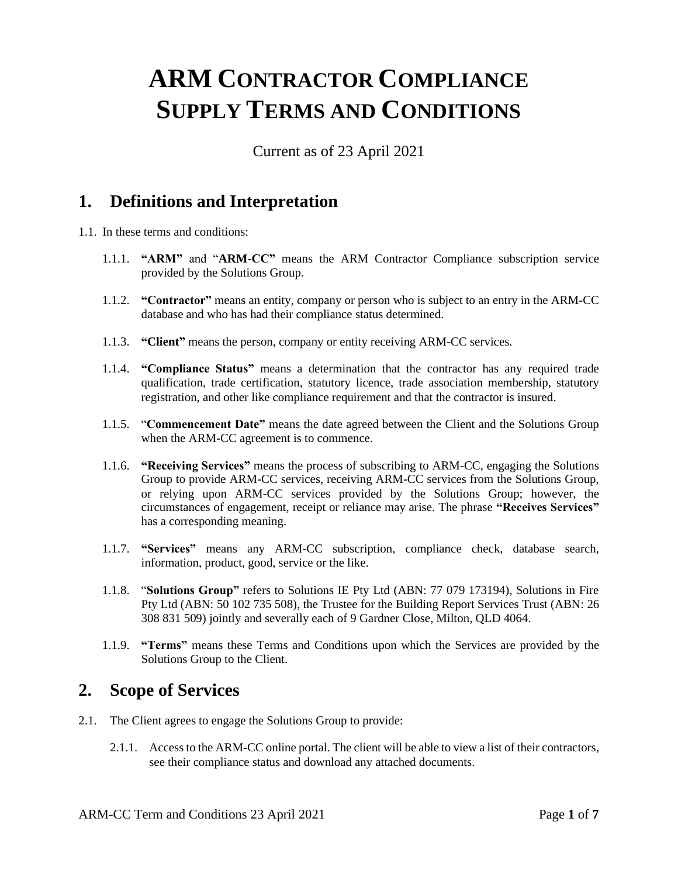# **ARM CONTRACTOR COMPLIANCE SUPPLY TERMS AND CONDITIONS**

Current as of 23 April 2021

## **1. Definitions and Interpretation**

- 1.1. In these terms and conditions:
	- 1.1.1. **"ARM"** and "**ARM-CC"** means the ARM Contractor Compliance subscription service provided by the Solutions Group.
	- 1.1.2. **"Contractor"** means an entity, company or person who is subject to an entry in the ARM-CC database and who has had their compliance status determined.
	- 1.1.3. **"Client"** means the person, company or entity receiving ARM-CC services.
	- 1.1.4. **"Compliance Status"** means a determination that the contractor has any required trade qualification, trade certification, statutory licence, trade association membership, statutory registration, and other like compliance requirement and that the contractor is insured.
	- 1.1.5. "**Commencement Date"** means the date agreed between the Client and the Solutions Group when the ARM-CC agreement is to commence.
	- 1.1.6. **"Receiving Services"** means the process of subscribing to ARM-CC, engaging the Solutions Group to provide ARM-CC services, receiving ARM-CC services from the Solutions Group, or relying upon ARM-CC services provided by the Solutions Group; however, the circumstances of engagement, receipt or reliance may arise. The phrase **"Receives Services"**  has a corresponding meaning.
	- 1.1.7. **"Services"** means any ARM-CC subscription, compliance check, database search, information, product, good, service or the like.
	- 1.1.8. "**Solutions Group"** refers to Solutions IE Pty Ltd (ABN: 77 079 173194), Solutions in Fire Pty Ltd (ABN: 50 102 735 508), the Trustee for the Building Report Services Trust (ABN: 26 308 831 509) jointly and severally each of 9 Gardner Close, Milton, QLD 4064.
	- 1.1.9. **"Terms"** means these Terms and Conditions upon which the Services are provided by the Solutions Group to the Client.

#### **2. Scope of Services**

- 2.1. The Client agrees to engage the Solutions Group to provide:
	- 2.1.1. Access to the ARM-CC online portal. The client will be able to view a list of their contractors, see their compliance status and download any attached documents.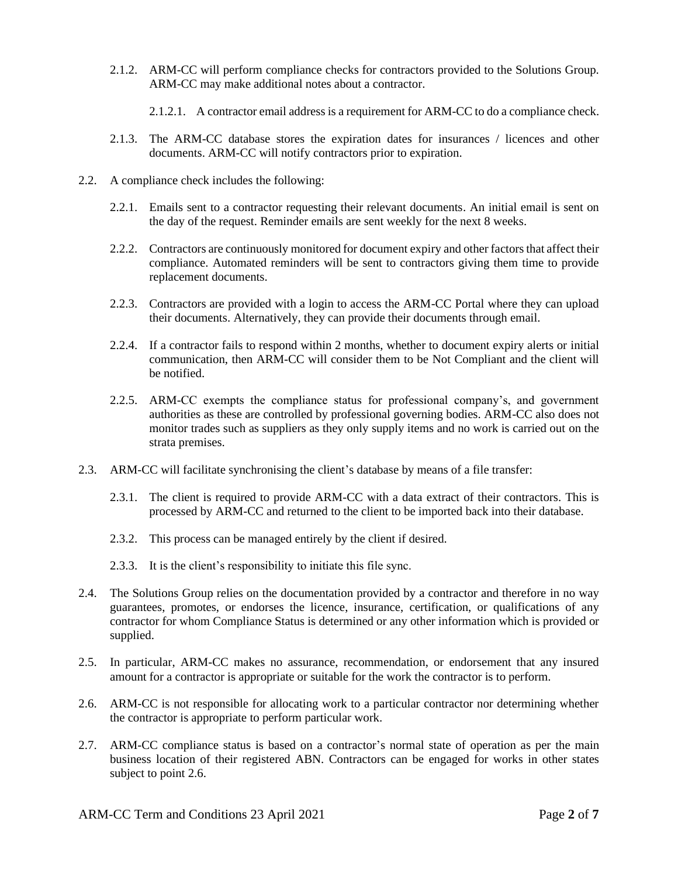- 2.1.2. ARM-CC will perform compliance checks for contractors provided to the Solutions Group. ARM-CC may make additional notes about a contractor.
	- 2.1.2.1. A contractor email address is a requirement for ARM-CC to do a compliance check.
- 2.1.3. The ARM-CC database stores the expiration dates for insurances / licences and other documents. ARM-CC will notify contractors prior to expiration.
- 2.2. A compliance check includes the following:
	- 2.2.1. Emails sent to a contractor requesting their relevant documents. An initial email is sent on the day of the request. Reminder emails are sent weekly for the next 8 weeks.
	- 2.2.2. Contractors are continuously monitored for document expiry and other factors that affect their compliance. Automated reminders will be sent to contractors giving them time to provide replacement documents.
	- 2.2.3. Contractors are provided with a login to access the ARM-CC Portal where they can upload their documents. Alternatively, they can provide their documents through email.
	- 2.2.4. If a contractor fails to respond within 2 months, whether to document expiry alerts or initial communication, then ARM-CC will consider them to be Not Compliant and the client will be notified.
	- 2.2.5. ARM-CC exempts the compliance status for professional company's, and government authorities as these are controlled by professional governing bodies. ARM-CC also does not monitor trades such as suppliers as they only supply items and no work is carried out on the strata premises.
- 2.3. ARM-CC will facilitate synchronising the client's database by means of a file transfer:
	- 2.3.1. The client is required to provide ARM-CC with a data extract of their contractors. This is processed by ARM-CC and returned to the client to be imported back into their database.
	- 2.3.2. This process can be managed entirely by the client if desired.
	- 2.3.3. It is the client's responsibility to initiate this file sync.
- 2.4. The Solutions Group relies on the documentation provided by a contractor and therefore in no way guarantees, promotes, or endorses the licence, insurance, certification, or qualifications of any contractor for whom Compliance Status is determined or any other information which is provided or supplied.
- 2.5. In particular, ARM-CC makes no assurance, recommendation, or endorsement that any insured amount for a contractor is appropriate or suitable for the work the contractor is to perform.
- 2.6. ARM-CC is not responsible for allocating work to a particular contractor nor determining whether the contractor is appropriate to perform particular work.
- 2.7. ARM-CC compliance status is based on a contractor's normal state of operation as per the main business location of their registered ABN. Contractors can be engaged for works in other states subject to point 2.6.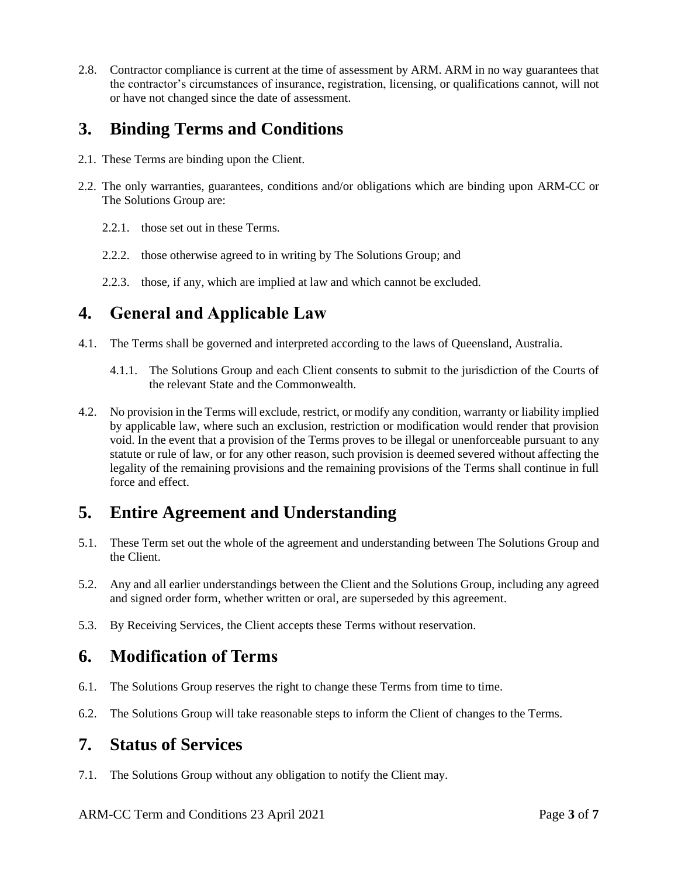2.8. Contractor compliance is current at the time of assessment by ARM. ARM in no way guarantees that the contractor's circumstances of insurance, registration, licensing, or qualifications cannot, will not or have not changed since the date of assessment.

# **3. Binding Terms and Conditions**

- 2.1. These Terms are binding upon the Client.
- 2.2. The only warranties, guarantees, conditions and/or obligations which are binding upon ARM-CC or The Solutions Group are:
	- 2.2.1. those set out in these Terms.
	- 2.2.2. those otherwise agreed to in writing by The Solutions Group; and
	- 2.2.3. those, if any, which are implied at law and which cannot be excluded.

### **4. General and Applicable Law**

- 4.1. The Terms shall be governed and interpreted according to the laws of Queensland, Australia.
	- 4.1.1. The Solutions Group and each Client consents to submit to the jurisdiction of the Courts of the relevant State and the Commonwealth.
- 4.2. No provision in the Terms will exclude, restrict, or modify any condition, warranty or liability implied by applicable law, where such an exclusion, restriction or modification would render that provision void. In the event that a provision of the Terms proves to be illegal or unenforceable pursuant to any statute or rule of law, or for any other reason, such provision is deemed severed without affecting the legality of the remaining provisions and the remaining provisions of the Terms shall continue in full force and effect.

# **5. Entire Agreement and Understanding**

- 5.1. These Term set out the whole of the agreement and understanding between The Solutions Group and the Client.
- 5.2. Any and all earlier understandings between the Client and the Solutions Group, including any agreed and signed order form, whether written or oral, are superseded by this agreement.
- 5.3. By Receiving Services, the Client accepts these Terms without reservation.

## **6. Modification of Terms**

- 6.1. The Solutions Group reserves the right to change these Terms from time to time.
- 6.2. The Solutions Group will take reasonable steps to inform the Client of changes to the Terms.

#### **7. Status of Services**

7.1. The Solutions Group without any obligation to notify the Client may.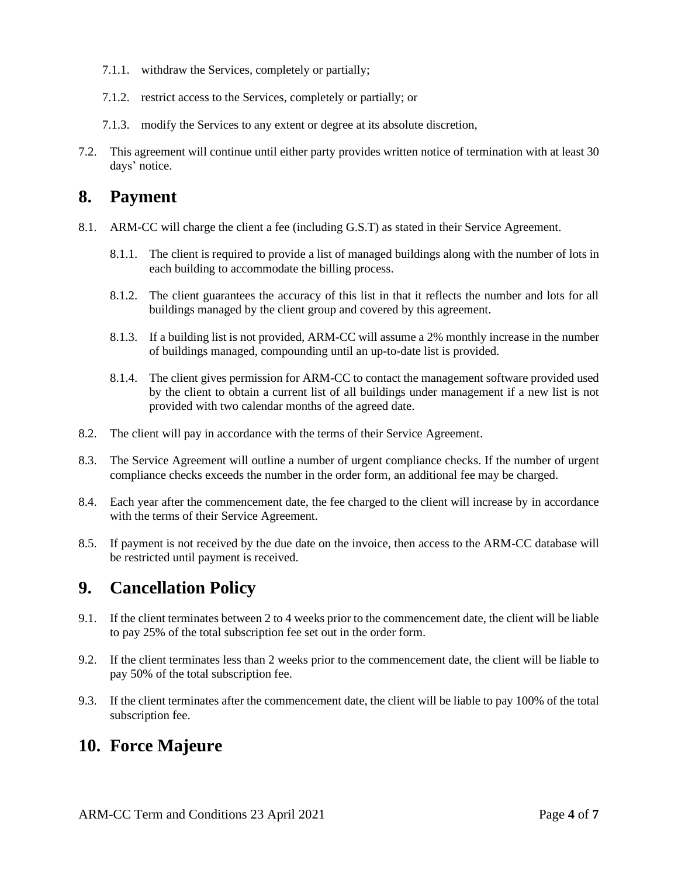- 7.1.1. withdraw the Services, completely or partially;
- 7.1.2. restrict access to the Services, completely or partially; or
- 7.1.3. modify the Services to any extent or degree at its absolute discretion,
- 7.2. This agreement will continue until either party provides written notice of termination with at least 30 days' notice.

## **8. Payment**

- 8.1. ARM-CC will charge the client a fee (including G.S.T) as stated in their Service Agreement.
	- 8.1.1. The client is required to provide a list of managed buildings along with the number of lots in each building to accommodate the billing process.
	- 8.1.2. The client guarantees the accuracy of this list in that it reflects the number and lots for all buildings managed by the client group and covered by this agreement.
	- 8.1.3. If a building list is not provided, ARM-CC will assume a 2% monthly increase in the number of buildings managed, compounding until an up-to-date list is provided.
	- 8.1.4. The client gives permission for ARM-CC to contact the management software provided used by the client to obtain a current list of all buildings under management if a new list is not provided with two calendar months of the agreed date.
- 8.2. The client will pay in accordance with the terms of their Service Agreement.
- 8.3. The Service Agreement will outline a number of urgent compliance checks. If the number of urgent compliance checks exceeds the number in the order form, an additional fee may be charged.
- 8.4. Each year after the commencement date, the fee charged to the client will increase by in accordance with the terms of their Service Agreement.
- 8.5. If payment is not received by the due date on the invoice, then access to the ARM-CC database will be restricted until payment is received.

#### **9. Cancellation Policy**

- 9.1. If the client terminates between 2 to 4 weeks prior to the commencement date, the client will be liable to pay 25% of the total subscription fee set out in the order form.
- 9.2. If the client terminates less than 2 weeks prior to the commencement date, the client will be liable to pay 50% of the total subscription fee.
- 9.3. If the client terminates after the commencement date, the client will be liable to pay 100% of the total subscription fee.

#### **10. Force Majeure**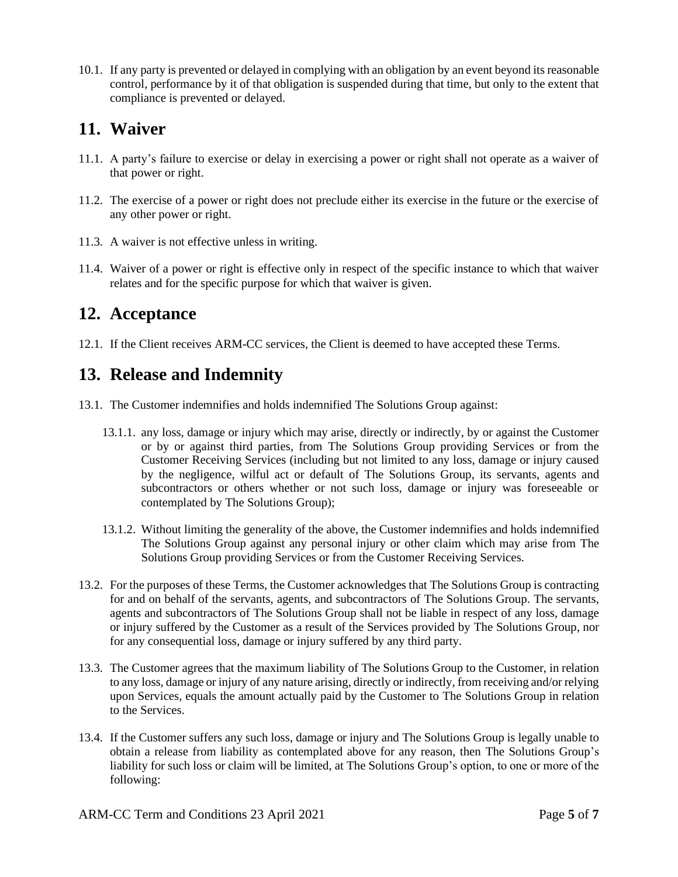10.1. If any party is prevented or delayed in complying with an obligation by an event beyond its reasonable control, performance by it of that obligation is suspended during that time, but only to the extent that compliance is prevented or delayed.

## **11. Waiver**

- 11.1. A party's failure to exercise or delay in exercising a power or right shall not operate as a waiver of that power or right.
- 11.2. The exercise of a power or right does not preclude either its exercise in the future or the exercise of any other power or right.
- 11.3. A waiver is not effective unless in writing.
- 11.4. Waiver of a power or right is effective only in respect of the specific instance to which that waiver relates and for the specific purpose for which that waiver is given.

# **12. Acceptance**

12.1. If the Client receives ARM-CC services, the Client is deemed to have accepted these Terms.

# **13. Release and Indemnity**

- 13.1. The Customer indemnifies and holds indemnified The Solutions Group against:
	- 13.1.1. any loss, damage or injury which may arise, directly or indirectly, by or against the Customer or by or against third parties, from The Solutions Group providing Services or from the Customer Receiving Services (including but not limited to any loss, damage or injury caused by the negligence, wilful act or default of The Solutions Group, its servants, agents and subcontractors or others whether or not such loss, damage or injury was foreseeable or contemplated by The Solutions Group);
	- 13.1.2. Without limiting the generality of the above, the Customer indemnifies and holds indemnified The Solutions Group against any personal injury or other claim which may arise from The Solutions Group providing Services or from the Customer Receiving Services.
- 13.2. For the purposes of these Terms, the Customer acknowledges that The Solutions Group is contracting for and on behalf of the servants, agents, and subcontractors of The Solutions Group. The servants, agents and subcontractors of The Solutions Group shall not be liable in respect of any loss, damage or injury suffered by the Customer as a result of the Services provided by The Solutions Group, nor for any consequential loss, damage or injury suffered by any third party.
- 13.3. The Customer agrees that the maximum liability of The Solutions Group to the Customer, in relation to any loss, damage or injury of any nature arising, directly or indirectly, from receiving and/or relying upon Services, equals the amount actually paid by the Customer to The Solutions Group in relation to the Services.
- 13.4. If the Customer suffers any such loss, damage or injury and The Solutions Group is legally unable to obtain a release from liability as contemplated above for any reason, then The Solutions Group's liability for such loss or claim will be limited, at The Solutions Group's option, to one or more of the following: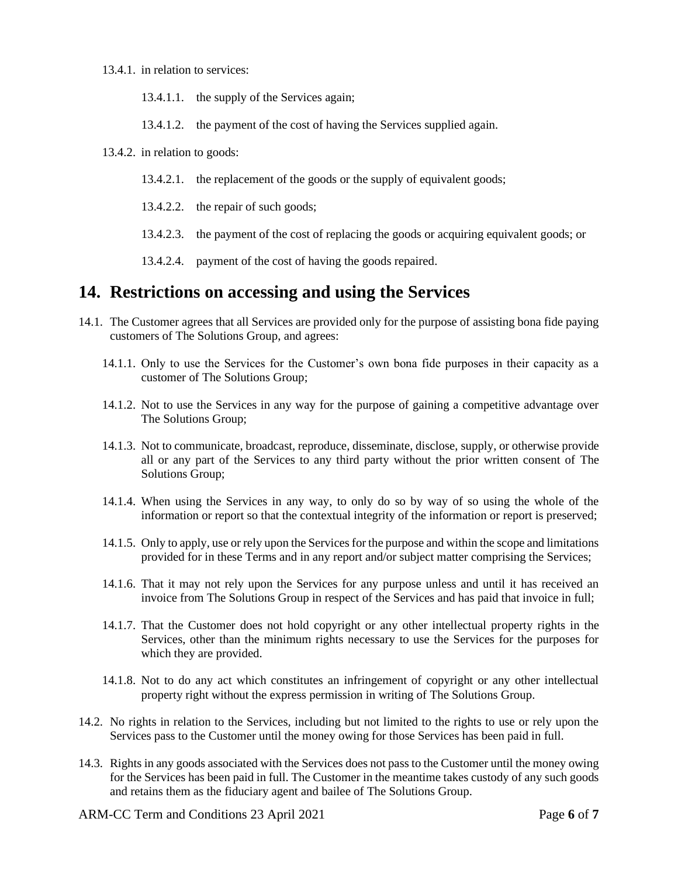- 13.4.1. in relation to services:
	- 13.4.1.1. the supply of the Services again;
	- 13.4.1.2. the payment of the cost of having the Services supplied again.
- 13.4.2. in relation to goods:
	- 13.4.2.1. the replacement of the goods or the supply of equivalent goods;
	- 13.4.2.2. the repair of such goods;
	- 13.4.2.3. the payment of the cost of replacing the goods or acquiring equivalent goods; or
	- 13.4.2.4. payment of the cost of having the goods repaired.

#### **14. Restrictions on accessing and using the Services**

- 14.1. The Customer agrees that all Services are provided only for the purpose of assisting bona fide paying customers of The Solutions Group, and agrees:
	- 14.1.1. Only to use the Services for the Customer's own bona fide purposes in their capacity as a customer of The Solutions Group;
	- 14.1.2. Not to use the Services in any way for the purpose of gaining a competitive advantage over The Solutions Group;
	- 14.1.3. Not to communicate, broadcast, reproduce, disseminate, disclose, supply, or otherwise provide all or any part of the Services to any third party without the prior written consent of The Solutions Group;
	- 14.1.4. When using the Services in any way, to only do so by way of so using the whole of the information or report so that the contextual integrity of the information or report is preserved;
	- 14.1.5. Only to apply, use or rely upon the Services for the purpose and within the scope and limitations provided for in these Terms and in any report and/or subject matter comprising the Services;
	- 14.1.6. That it may not rely upon the Services for any purpose unless and until it has received an invoice from The Solutions Group in respect of the Services and has paid that invoice in full;
	- 14.1.7. That the Customer does not hold copyright or any other intellectual property rights in the Services, other than the minimum rights necessary to use the Services for the purposes for which they are provided.
	- 14.1.8. Not to do any act which constitutes an infringement of copyright or any other intellectual property right without the express permission in writing of The Solutions Group.
- 14.2. No rights in relation to the Services, including but not limited to the rights to use or rely upon the Services pass to the Customer until the money owing for those Services has been paid in full.
- 14.3. Rights in any goods associated with the Services does not pass to the Customer until the money owing for the Services has been paid in full. The Customer in the meantime takes custody of any such goods and retains them as the fiduciary agent and bailee of The Solutions Group.

ARM-CC Term and Conditions 23 April 2021 Page **6** of **7**